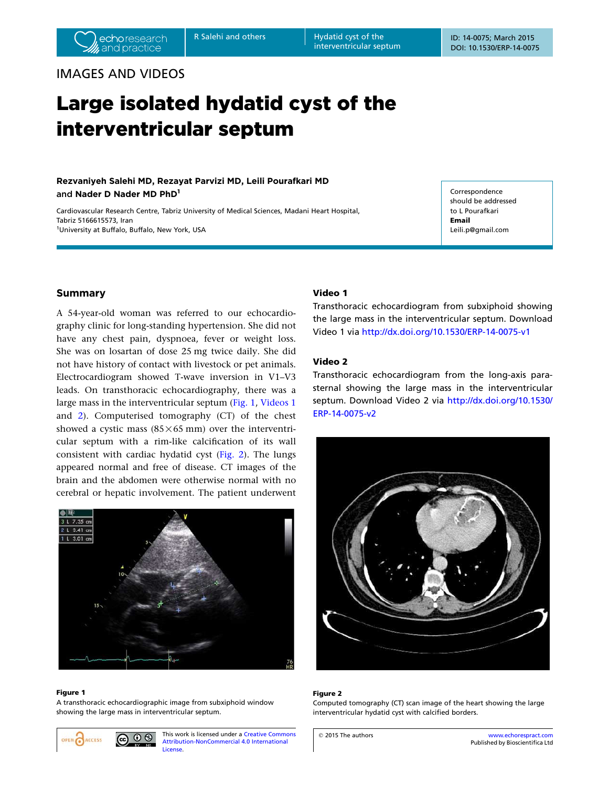interventricular septum

## IMAGES AND VIDEOS

# Large isolated hydatid cyst of the interventricular septum

## Rezvaniyeh Salehi MD, Rezayat Parvizi MD, Leili Pourafkari MD and Nader D Nader MD PhD<sup>1</sup>

Cardiovascular Research Centre, Tabriz University of Medical Sciences, Madani Heart Hospital, Tabriz 5166615573, Iran <sup>1</sup>University at Buffalo, Buffalo, New York, USA

Correspondence should be addressed to L Pourafkari Email Leili.p@gmail.com

## Summary

A 54-year-old woman was referred to our echocardiography clinic for long-standing hypertension. She did not have any chest pain, dyspnoea, fever or weight loss. She was on losartan of dose 25 mg twice daily. She did not have history of contact with livestock or pet animals. Electrocardiogram showed T-wave inversion in V1–V3 leads. On transthoracic echocardiography, there was a large mass in the interventricular septum (Fig. 1, Videos 1 and 2). Computerised tomography (CT) of the chest showed a cystic mass  $(85 \times 65 \text{ mm})$  over the interventricular septum with a rim-like calcification of its wall consistent with cardiac hydatid cyst (Fig. 2). The lungs appeared normal and free of disease. CT images of the brain and the abdomen were otherwise normal with no cerebral or hepatic involvement. The patient underwent



#### Figure 1

A transthoracic echocardiographic image from subxiphoid window showing the large mass in interventricular septum.

 $00$ ACCESS

This work is licensed under a Creative Commons Attribution-NonCommercial 4.0 International License.

## Video 1

Transthoracic echocardiogram from subxiphoid showing the large mass in the interventricular septum. Download Video 1 via http://dx.doi.org/10.1530/ERP-14-0075-v1

## Video 2

Transthoracic echocardiogram from the long-axis parasternal showing the large mass in the interventricular septum. Download Video 2 via http://dx.doi.org/10.1530/ ERP-14-0075-v2



#### Figure 2

Computed tomography (CT) scan image of the heart showing the large interventricular hydatid cyst with calcified borders.